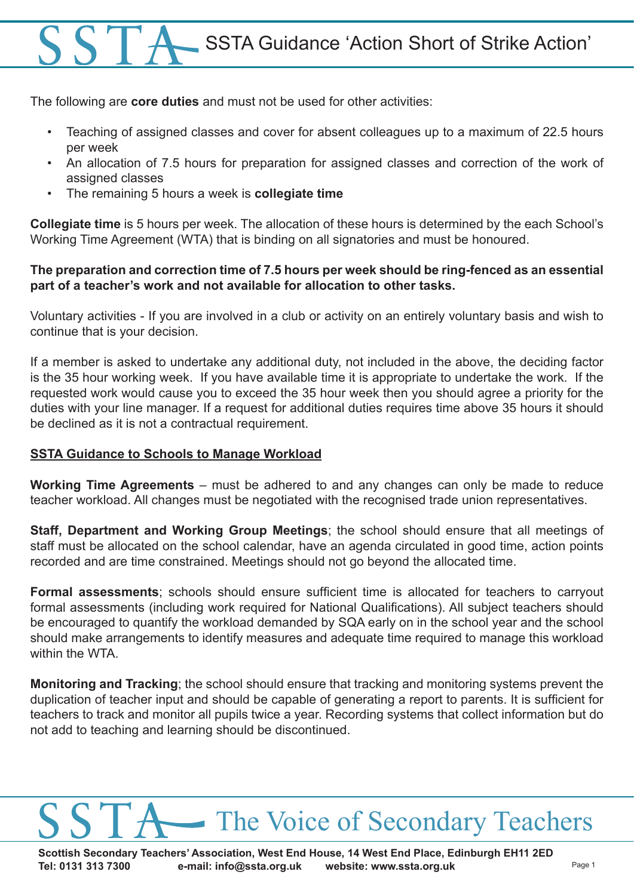The following are **core duties** and must not be used for other activities:

- Teaching of assigned classes and cover for absent colleagues up to a maximum of 22.5 hours per week
- An allocation of 7.5 hours for preparation for assigned classes and correction of the work of assigned classes
- The remaining 5 hours a week is **collegiate time**

**Collegiate time** is 5 hours per week. The allocation of these hours is determined by the each School's Working Time Agreement (WTA) that is binding on all signatories and must be honoured.

#### **The preparation and correction time of 7.5 hours per week should be ring-fenced as an essential part of a teacher's work and not available for allocation to other tasks.**

Voluntary activities - If you are involved in a club or activity on an entirely voluntary basis and wish to continue that is your decision.

If a member is asked to undertake any additional duty, not included in the above, the deciding factor is the 35 hour working week. If you have available time it is appropriate to undertake the work. If the requested work would cause you to exceed the 35 hour week then you should agree a priority for the duties with your line manager. If a request for additional duties requires time above 35 hours it should be declined as it is not a contractual requirement.

#### **SSTA Guidance to Schools to Manage Workload**

**Working Time Agreements** – must be adhered to and any changes can only be made to reduce teacher workload. All changes must be negotiated with the recognised trade union representatives.

**Staff, Department and Working Group Meetings**; the school should ensure that all meetings of staff must be allocated on the school calendar, have an agenda circulated in good time, action points recorded and are time constrained. Meetings should not go beyond the allocated time.

**Formal assessments**; schools should ensure sufficient time is allocated for teachers to carryout formal assessments (including work required for National Qualifications). All subject teachers should be encouraged to quantify the workload demanded by SQA early on in the school year and the school should make arrangements to identify measures and adequate time required to manage this workload within the WTA

**Monitoring and Tracking**; the school should ensure that tracking and monitoring systems prevent the duplication of teacher input and should be capable of generating a report to parents. It is sufficient for teachers to track and monitor all pupils twice a year. Recording systems that collect information but do not add to teaching and learning should be discontinued.

### The Voice of Secondary Teachers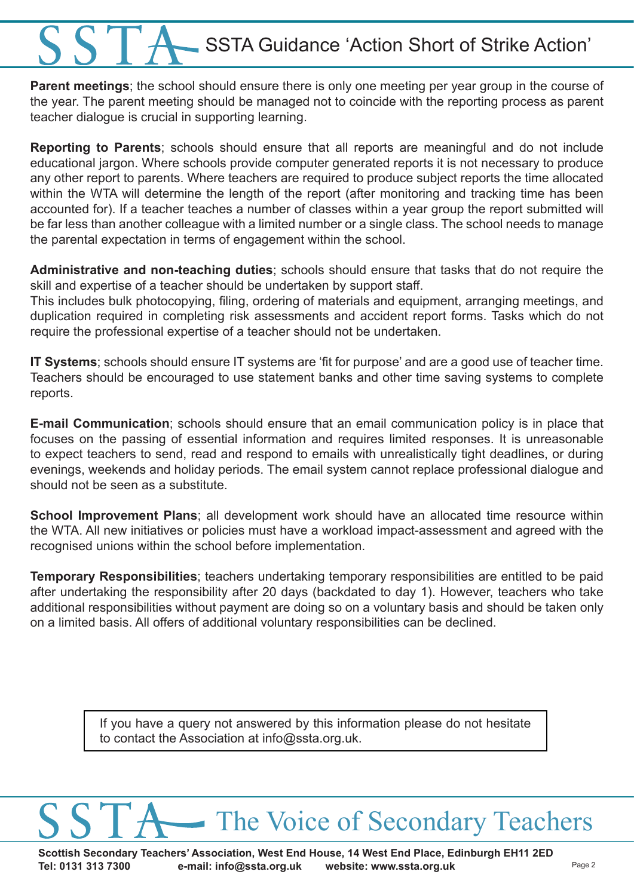**Parent meetings**; the school should ensure there is only one meeting per year group in the course of the year. The parent meeting should be managed not to coincide with the reporting process as parent teacher dialogue is crucial in supporting learning.

**Reporting to Parents**; schools should ensure that all reports are meaningful and do not include educational jargon. Where schools provide computer generated reports it is not necessary to produce any other report to parents. Where teachers are required to produce subject reports the time allocated within the WTA will determine the length of the report (after monitoring and tracking time has been accounted for). If a teacher teaches a number of classes within a year group the report submitted will be far less than another colleague with a limited number or a single class. The school needs to manage the parental expectation in terms of engagement within the school.

**Administrative and non-teaching duties**; schools should ensure that tasks that do not require the skill and expertise of a teacher should be undertaken by support staff.

This includes bulk photocopying, filing, ordering of materials and equipment, arranging meetings, and duplication required in completing risk assessments and accident report forms. Tasks which do not require the professional expertise of a teacher should not be undertaken.

**IT Systems**; schools should ensure IT systems are 'fit for purpose' and are a good use of teacher time. Teachers should be encouraged to use statement banks and other time saving systems to complete reports.

**E-mail Communication**; schools should ensure that an email communication policy is in place that focuses on the passing of essential information and requires limited responses. It is unreasonable to expect teachers to send, read and respond to emails with unrealistically tight deadlines, or during evenings, weekends and holiday periods. The email system cannot replace professional dialogue and should not be seen as a substitute.

**School Improvement Plans**; all development work should have an allocated time resource within the WTA. All new initiatives or policies must have a workload impact-assessment and agreed with the recognised unions within the school before implementation.

**Temporary Responsibilities**; teachers undertaking temporary responsibilities are entitled to be paid after undertaking the responsibility after 20 days (backdated to day 1). However, teachers who take additional responsibilities without payment are doing so on a voluntary basis and should be taken only on a limited basis. All offers of additional voluntary responsibilities can be declined.

> If you have a query not answered by this information please do not hesitate to contact the Association at info@ssta.org.uk.

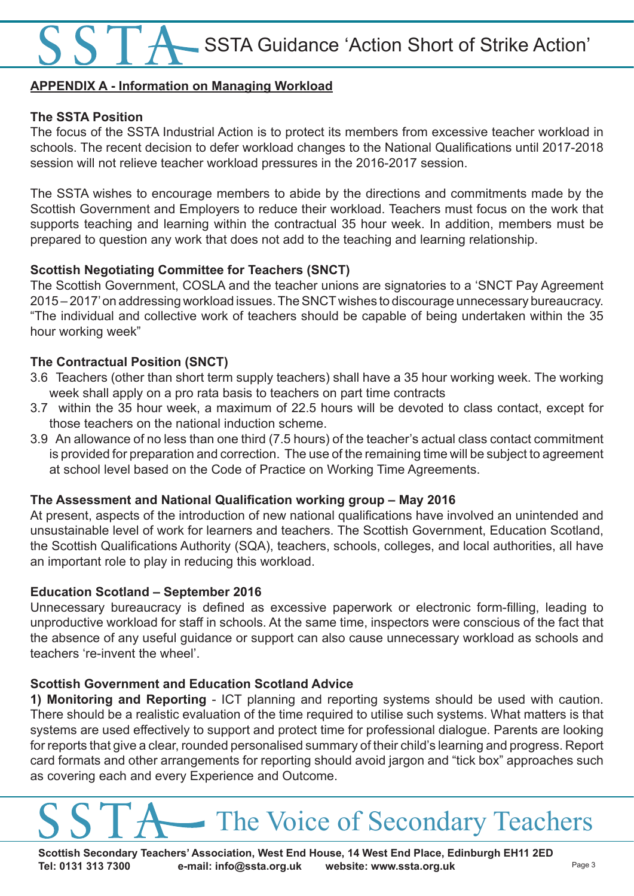#### **APPENDIX A - Information on Managing Workload**

#### **The SSTA Position**

The focus of the SSTA Industrial Action is to protect its members from excessive teacher workload in schools. The recent decision to defer workload changes to the National Qualifications until 2017-2018 session will not relieve teacher workload pressures in the 2016-2017 session.

The SSTA wishes to encourage members to abide by the directions and commitments made by the Scottish Government and Employers to reduce their workload. Teachers must focus on the work that supports teaching and learning within the contractual 35 hour week. In addition, members must be prepared to question any work that does not add to the teaching and learning relationship.

#### **Scottish Negotiating Committee for Teachers (SNCT)**

The Scottish Government, COSLA and the teacher unions are signatories to a 'SNCT Pay Agreement 2015 – 2017' on addressing workload issues. The SNCT wishes to discourage unnecessary bureaucracy. "The individual and collective work of teachers should be capable of being undertaken within the 35 hour working week"

#### **The Contractual Position (SNCT)**

- 3.6 Teachers (other than short term supply teachers) shall have a 35 hour working week. The working week shall apply on a pro rata basis to teachers on part time contracts
- 3.7 within the 35 hour week, a maximum of 22.5 hours will be devoted to class contact, except for those teachers on the national induction scheme.
- 3.9 An allowance of no less than one third (7.5 hours) of the teacher's actual class contact commitment is provided for preparation and correction. The use of the remaining time will be subject to agreement at school level based on the Code of Practice on Working Time Agreements.

#### **The Assessment and National Qualification working group – May 2016**

At present, aspects of the introduction of new national qualifications have involved an unintended and unsustainable level of work for learners and teachers. The Scottish Government, Education Scotland, the Scottish Qualifications Authority (SQA), teachers, schools, colleges, and local authorities, all have an important role to play in reducing this workload.

#### **Education Scotland – September 2016**

Unnecessary bureaucracy is defined as excessive paperwork or electronic form-filling, leading to unproductive workload for staff in schools. At the same time, inspectors were conscious of the fact that the absence of any useful guidance or support can also cause unnecessary workload as schools and teachers 're-invent the wheel'.

#### **Scottish Government and Education Scotland Advice**

**1) Monitoring and Reporting** - ICT planning and reporting systems should be used with caution. There should be a realistic evaluation of the time required to utilise such systems. What matters is that systems are used effectively to support and protect time for professional dialogue. Parents are looking for reports that give a clear, rounded personalised summary of their child's learning and progress. Report card formats and other arrangements for reporting should avoid jargon and "tick box" approaches such as covering each and every Experience and Outcome.